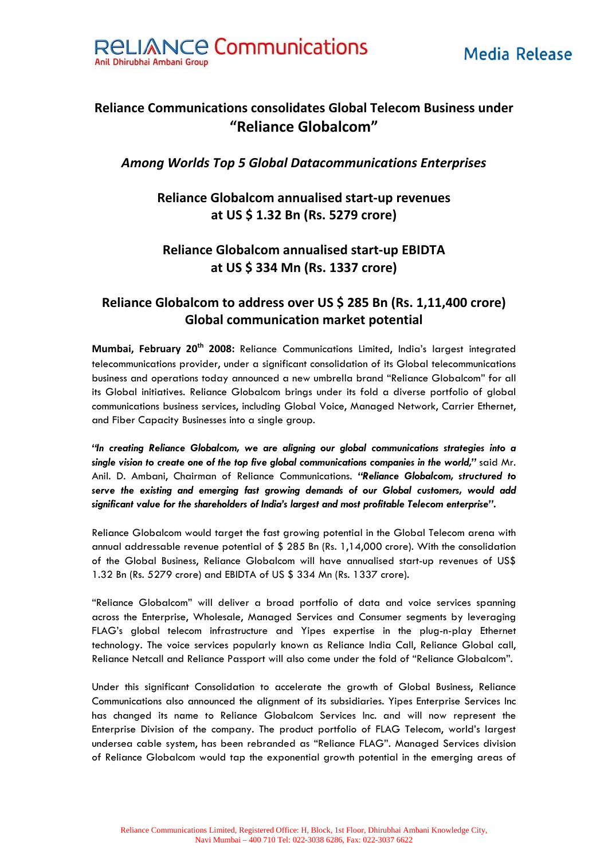



# **Reliance Communications consolidates Global Telecom Business under "Reliance Globalcom"**

#### *Among Worlds Top 5 Global Datacommunications Enterprises*

### **Reliance Globalcom annualised start‐up revenues at US \$ 1.32 Bn (Rs. 5279 crore)**

## **Reliance Globalcom annualised start‐up EBIDTA at US \$ 334 Mn (Rs. 1337 crore)**

## **Reliance Globalcom to address over US \$ 285 Bn (Rs. 1,11,400 crore) Global communication market potential**

**Mumbai, February 20th 2008:** Reliance Communications Limited, India's largest integrated telecommunications provider, under a significant consolidation of its Global telecommunications business and operations today announced a new umbrella brand "Reliance Globalcom" for all its Global initiatives. Reliance Globalcom brings under its fold a diverse portfolio of global communications business services, including Global Voice, Managed Network, Carrier Ethernet, and Fiber Capacity Businesses into a single group.

*"In creating Reliance Globalcom, we are aligning our global communications strategies into a single vision to create one of the top five global communications companies in the world,"* said Mr. Anil. D. Ambani, Chairman of Reliance Communications. *"Reliance Globalcom, structured to serve the existing and emerging fast growing demands of our Global customers, would add significant value for the shareholders of India's largest and most profitable Telecom enterprise"***.** 

Reliance Globalcom would target the fast growing potential in the Global Telecom arena with annual addressable revenue potential of \$ 285 Bn (Rs. 1,14,000 crore). With the consolidation of the Global Business, Reliance Globalcom will have annualised start-up revenues of US\$ 1.32 Bn (Rs. 5279 crore) and EBIDTA of US \$ 334 Mn (Rs. 1337 crore).

"Reliance Globalcom" will deliver a broad portfolio of data and voice services spanning across the Enterprise, Wholesale, Managed Services and Consumer segments by leveraging FLAG's global telecom infrastructure and Yipes expertise in the plug-n-play Ethernet technology. The voice services popularly known as Reliance India Call, Reliance Global call, Reliance Netcall and Reliance Passport will also come under the fold of "Reliance Globalcom".

Under this significant Consolidation to accelerate the growth of Global Business, Reliance Communications also announced the alignment of its subsidiaries. Yipes Enterprise Services Inc has changed its name to Reliance Globalcom Services Inc. and will now represent the Enterprise Division of the company. The product portfolio of FLAG Telecom, world's largest undersea cable system, has been rebranded as "Reliance FLAG". Managed Services division of Reliance Globalcom would tap the exponential growth potential in the emerging areas of